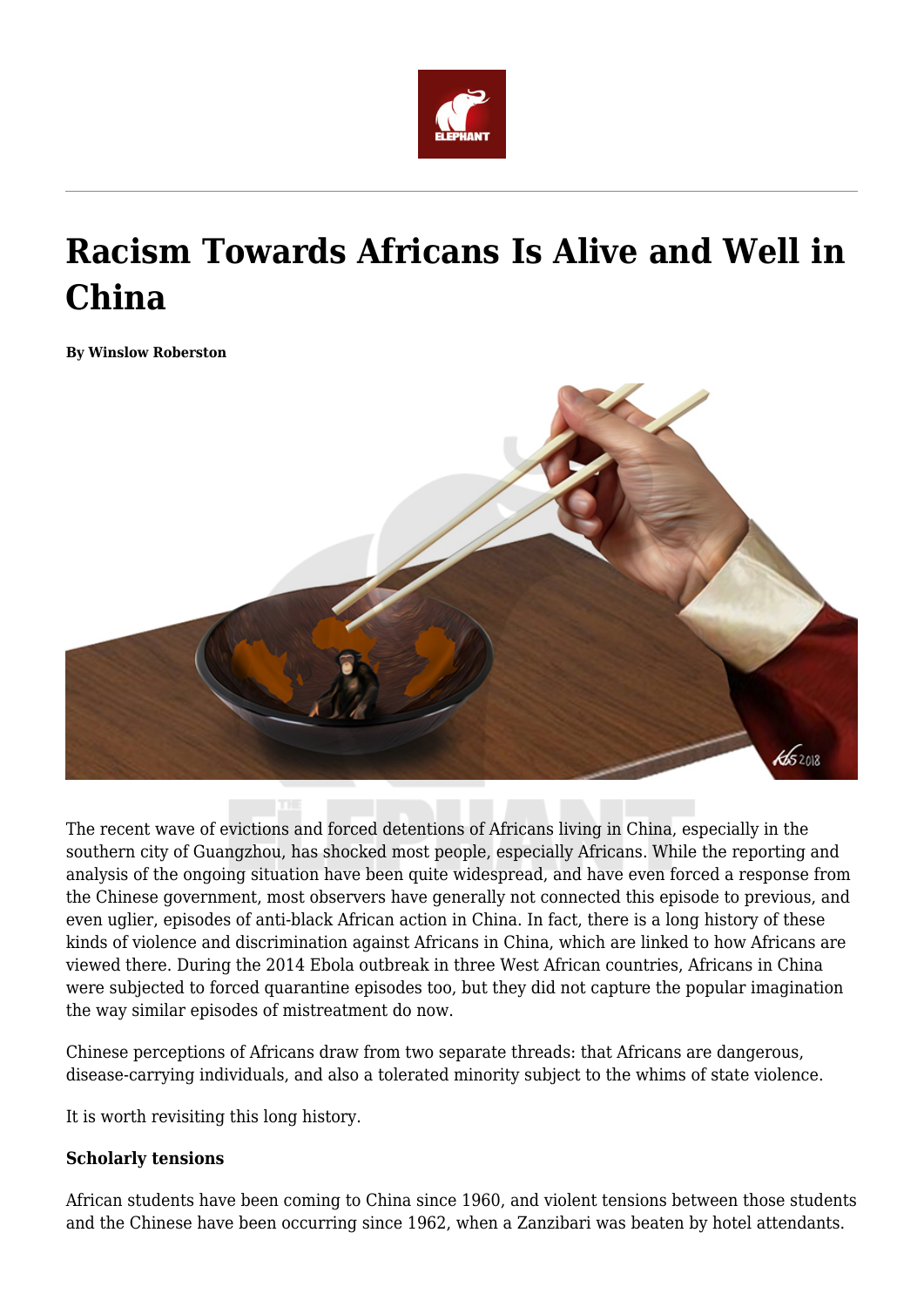

# **Racism Towards Africans Is Alive and Well in China**

**By Winslow Roberston**



The recent wave of evictions and forced detentions of Africans living in China, especially in the southern city of Guangzhou, has shocked most people, especially Africans. While the reporting and analysis of the ongoing situation have been quite widespread, and have even forced a response from the Chinese government, most observers have generally not connected this episode to previous, and even uglier, episodes of anti-black African action in China. In fact, there is a long history of these kinds of violence and discrimination against Africans in China, which are linked to how Africans are viewed there. During the 2014 Ebola outbreak in three West African countries, Africans in China were subjected to forced quarantine episodes too, but they did not capture the popular imagination the way similar episodes of mistreatment do now.

Chinese perceptions of Africans draw from two separate threads: that Africans are dangerous, disease-carrying individuals, and also a tolerated minority subject to the whims of state violence.

It is worth revisiting this long history.

### **Scholarly tensions**

African students have been coming to China since 1960, and violent tensions between those students and the Chinese have been occurring since 1962, when a Zanzibari was beaten by hotel attendants.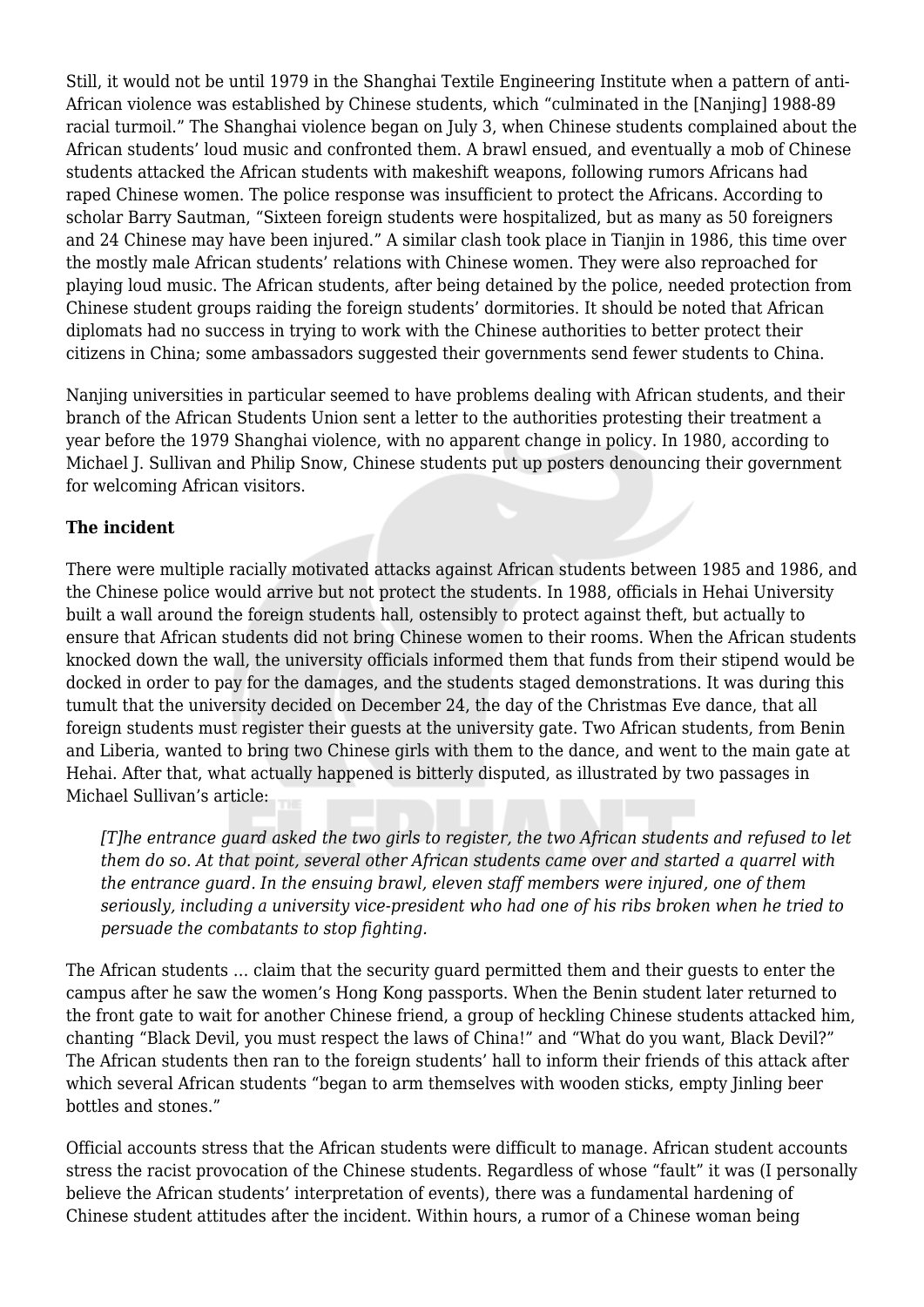Still, it would not be until 1979 in the Shanghai Textile Engineering Institute when a pattern of anti-African violence was established by Chinese students, which "culminated in the [Nanjing] 1988-89 racial turmoil." The Shanghai violence began on July 3, when Chinese students complained about the African students' loud music and confronted them. A brawl ensued, and eventually a mob of Chinese students attacked the African students with makeshift weapons, following rumors Africans had raped Chinese women. The police response was insufficient to protect the Africans. According to scholar Barry Sautman, "Sixteen foreign students were hospitalized, but as many as 50 foreigners and 24 Chinese may have been injured." A similar clash took place in Tianjin in 1986, this time over the mostly male African students' relations with Chinese women. They were also reproached for playing loud music. The African students, after being detained by the police, needed protection from Chinese student groups raiding the foreign students' dormitories. It should be noted that African diplomats had no success in trying to work with the Chinese authorities to better protect their citizens in China; some ambassadors suggested their governments send fewer students to China.

Nanjing universities in particular seemed to have problems dealing with African students, and their branch of the African Students Union sent a letter to the authorities protesting their treatment a year before the 1979 Shanghai violence, with no apparent change in policy. In 1980, according to Michael J. Sullivan and Philip Snow, Chinese students put up posters denouncing their government for welcoming African visitors.

## **The incident**

There were multiple racially motivated attacks against African students between 1985 and 1986, and the Chinese police would arrive but not protect the students. In 1988, officials in Hehai University built a wall around the foreign students hall, ostensibly to protect against theft, but actually to ensure that African students did not bring Chinese women to their rooms. When the African students knocked down the wall, the university officials informed them that funds from their stipend would be docked in order to pay for the damages, and the students staged demonstrations. It was during this tumult that the university decided on December 24, the day of the Christmas Eve dance, that all foreign students must register their guests at the university gate. Two African students, from Benin and Liberia, wanted to bring two Chinese girls with them to the dance, and went to the main gate at Hehai. After that, what actually happened is bitterly disputed, as illustrated by two passages in Michael Sullivan's article:

*[T]he entrance guard asked the two girls to register, the two African students and refused to let them do so. At that point, several other African students came over and started a quarrel with the entrance guard. In the ensuing brawl, eleven staff members were injured, one of them seriously, including a university vice-president who had one of his ribs broken when he tried to persuade the combatants to stop fighting.*

The African students … claim that the security guard permitted them and their guests to enter the campus after he saw the women's Hong Kong passports. When the Benin student later returned to the front gate to wait for another Chinese friend, a group of heckling Chinese students attacked him, chanting "Black Devil, you must respect the laws of China!" and "What do you want, Black Devil?" The African students then ran to the foreign students' hall to inform their friends of this attack after which several African students "began to arm themselves with wooden sticks, empty Jinling beer bottles and stones."

Official accounts stress that the African students were difficult to manage. African student accounts stress the racist provocation of the Chinese students. Regardless of whose "fault" it was (I personally believe the African students' interpretation of events), there was a fundamental hardening of Chinese student attitudes after the incident. Within hours, a rumor of a Chinese woman being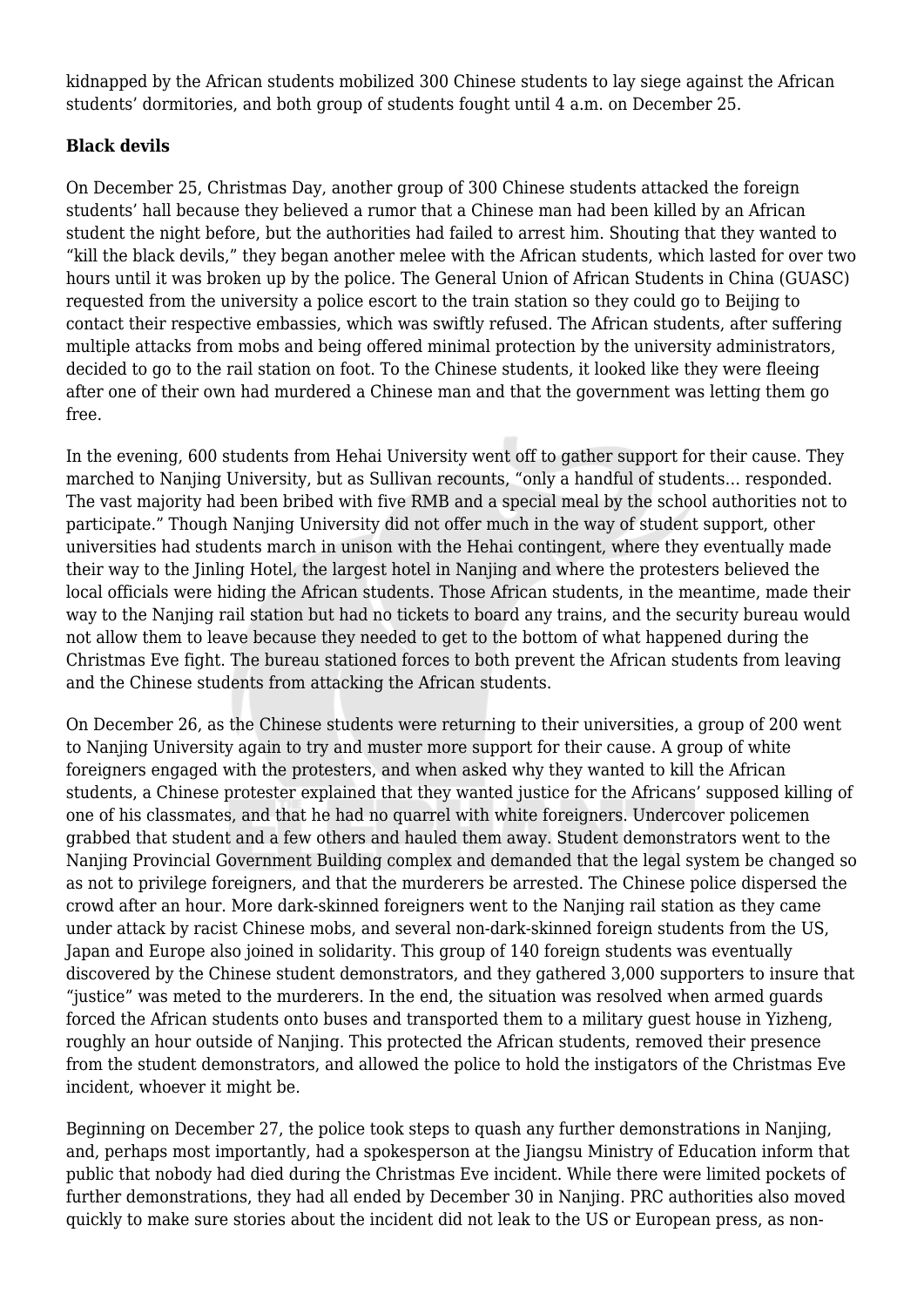kidnapped by the African students mobilized 300 Chinese students to lay siege against the African students' dormitories, and both group of students fought until 4 a.m. on December 25.

# **Black devils**

On December 25, Christmas Day, another group of 300 Chinese students attacked the foreign students' hall because they believed a rumor that a Chinese man had been killed by an African student the night before, but the authorities had failed to arrest him. Shouting that they wanted to "kill the black devils," they began another melee with the African students, which lasted for over two hours until it was broken up by the police. The General Union of African Students in China (GUASC) requested from the university a police escort to the train station so they could go to Beijing to contact their respective embassies, which was swiftly refused. The African students, after suffering multiple attacks from mobs and being offered minimal protection by the university administrators, decided to go to the rail station on foot. To the Chinese students, it looked like they were fleeing after one of their own had murdered a Chinese man and that the government was letting them go free.

In the evening, 600 students from Hehai University went off to gather support for their cause. They marched to Nanjing University, but as Sullivan recounts, "only a handful of students… responded. The vast majority had been bribed with five RMB and a special meal by the school authorities not to participate." Though Nanjing University did not offer much in the way of student support, other universities had students march in unison with the Hehai contingent, where they eventually made their way to the Jinling Hotel, the largest hotel in Nanjing and where the protesters believed the local officials were hiding the African students. Those African students, in the meantime, made their way to the Nanjing rail station but had no tickets to board any trains, and the security bureau would not allow them to leave because they needed to get to the bottom of what happened during the Christmas Eve fight. The bureau stationed forces to both prevent the African students from leaving and the Chinese students from attacking the African students.

On December 26, as the Chinese students were returning to their universities, a group of 200 went to Nanjing University again to try and muster more support for their cause. A group of white foreigners engaged with the protesters, and when asked why they wanted to kill the African students, a Chinese protester explained that they wanted justice for the Africans' supposed killing of one of his classmates, and that he had no quarrel with white foreigners. Undercover policemen grabbed that student and a few others and hauled them away. Student demonstrators went to the Nanjing Provincial Government Building complex and demanded that the legal system be changed so as not to privilege foreigners, and that the murderers be arrested. The Chinese police dispersed the crowd after an hour. More dark-skinned foreigners went to the Nanjing rail station as they came under attack by racist Chinese mobs, and several non-dark-skinned foreign students from the US, Japan and Europe also joined in solidarity. This group of 140 foreign students was eventually discovered by the Chinese student demonstrators, and they gathered 3,000 supporters to insure that "justice" was meted to the murderers. In the end, the situation was resolved when armed guards forced the African students onto buses and transported them to a military guest house in Yizheng, roughly an hour outside of Nanjing. This protected the African students, removed their presence from the student demonstrators, and allowed the police to hold the instigators of the Christmas Eve incident, whoever it might be.

Beginning on December 27, the police took steps to quash any further demonstrations in Nanjing, and, perhaps most importantly, had a spokesperson at the Jiangsu Ministry of Education inform that public that nobody had died during the Christmas Eve incident. While there were limited pockets of further demonstrations, they had all ended by December 30 in Nanjing. PRC authorities also moved quickly to make sure stories about the incident did not leak to the US or European press, as non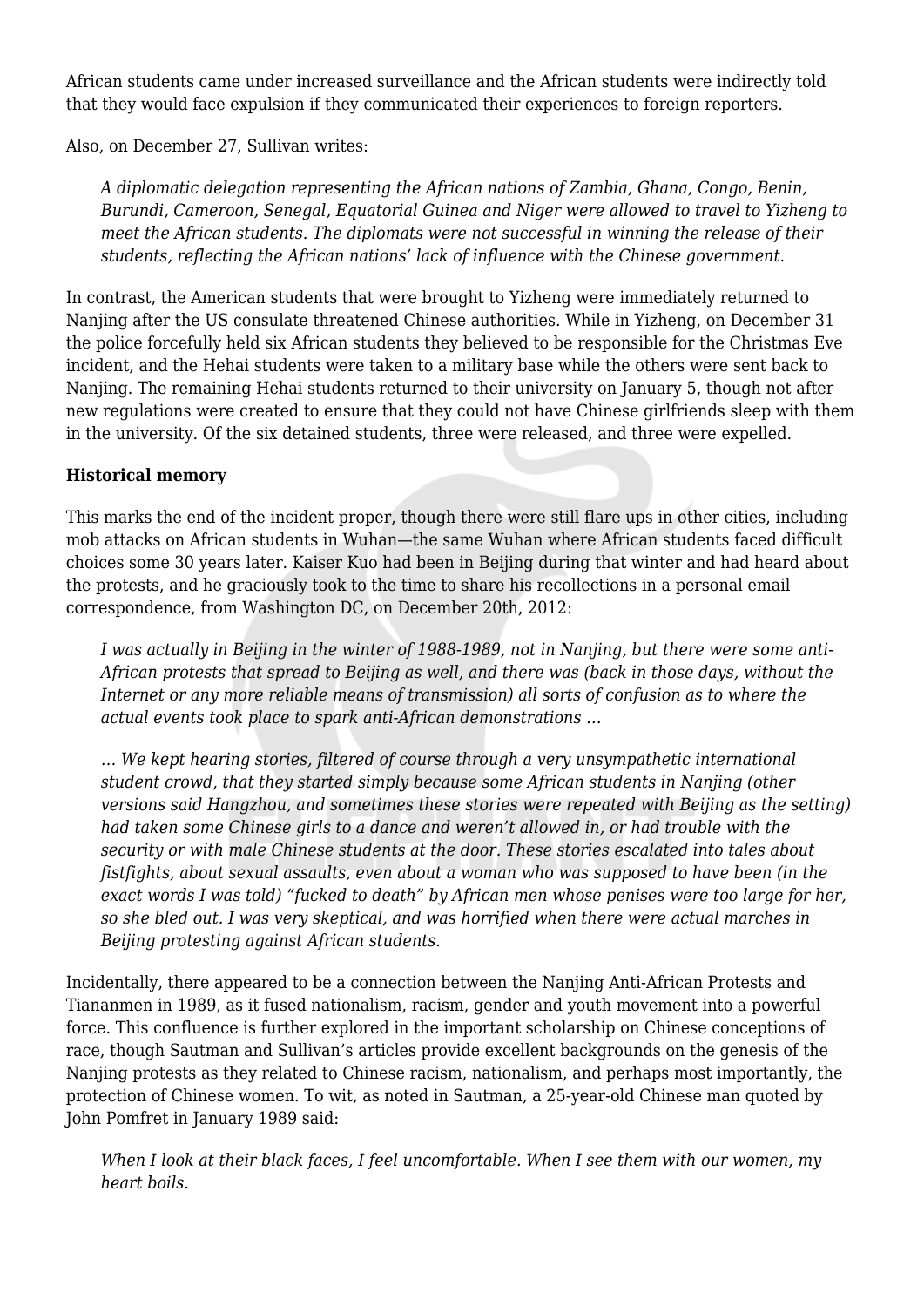African students came under increased surveillance and the African students were indirectly told that they would face expulsion if they communicated their experiences to foreign reporters.

Also, on December 27, Sullivan writes:

*A diplomatic delegation representing the African nations of Zambia, Ghana, Congo, Benin, Burundi, Cameroon, Senegal, Equatorial Guinea and Niger were allowed to travel to Yizheng to meet the African students. The diplomats were not successful in winning the release of their students, reflecting the African nations' lack of influence with the Chinese government*.

In contrast, the American students that were brought to Yizheng were immediately returned to Nanjing after the US consulate threatened Chinese authorities. While in Yizheng, on December 31 the police forcefully held six African students they believed to be responsible for the Christmas Eve incident, and the Hehai students were taken to a military base while the others were sent back to Nanjing. The remaining Hehai students returned to their university on January 5, though not after new regulations were created to ensure that they could not have Chinese girlfriends sleep with them in the university. Of the six detained students, three were released, and three were expelled.

## **Historical memory**

This marks the end of the incident proper, though there were still flare ups in other cities, including mob attacks on African students in Wuhan—the same Wuhan where African students faced difficult choices some 30 years later. Kaiser Kuo had been in Beijing during that winter and had heard about the protests, and he graciously took to the time to share his recollections in a personal email correspondence, from Washington DC, on December 20th, 2012:

*I was actually in Beijing in the winter of 1988-1989, not in Nanjing, but there were some anti-African protests that spread to Beijing as well, and there was (back in those days, without the Internet or any more reliable means of transmission) all sorts of confusion as to where the actual events took place to spark anti-African demonstrations …*

*… We kept hearing stories, filtered of course through a very unsympathetic international student crowd, that they started simply because some African students in Nanjing (other versions said Hangzhou, and sometimes these stories were repeated with Beijing as the setting) had taken some Chinese girls to a dance and weren't allowed in, or had trouble with the security or with male Chinese students at the door. These stories escalated into tales about fistfights, about sexual assaults, even about a woman who was supposed to have been (in the exact words I was told) "fucked to death" by African men whose penises were too large for her, so she bled out. I was very skeptical, and was horrified when there were actual marches in Beijing protesting against African students.*

Incidentally, there appeared to be a connection between the Nanjing Anti-African Protests and Tiananmen in 1989, as it fused nationalism, racism, gender and youth movement into a powerful force. This confluence is further explored in the important scholarship on Chinese conceptions of race, though Sautman and Sullivan's articles provide excellent backgrounds on the genesis of the Nanjing protests as they related to Chinese racism, nationalism, and perhaps most importantly, the protection of Chinese women. To wit, as noted in Sautman, a 25-year-old Chinese man quoted by John Pomfret in January 1989 said:

*When I look at their black faces, I feel uncomfortable. When I see them with our women, my heart boils.*